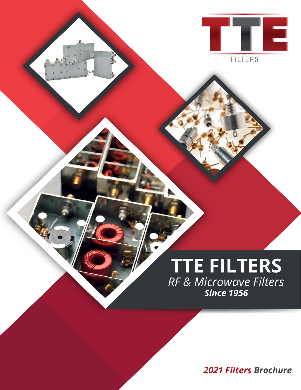

## **TTE FILTERS** *RF & Microwave Filters Since 1956*

*2021 Filters Brochure*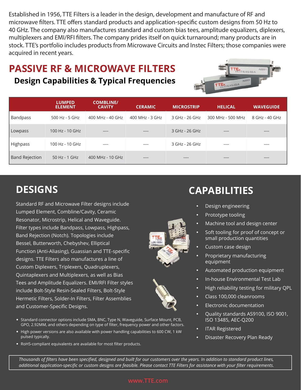Established in 1956, TTE Filters is a leader in the design, development and manufacture of RF and microwave filters. TTE offers standard products and application-specific custom designs from 50 Hz to 40 GHz. The company also manufactures standard and custom bias tees, amplitude equalizers, diplexers, multiplexers and EMI/RFI filters. The company prides itself on quick turnaround; many products are in stock. TTE's portfolio includes products from Microwave Circuits and Instec Filters; those companies were acquired in recent years.

## **PASSIVE RF & MICROWAVE FILTERS Design Capabilities & Typical Frequencies**



|                       | <b>LUMPED</b><br><b>ELEMENT</b> | <b>COMBLINE/</b><br><b>CAVITY</b> | <b>CERAMIC</b>  | <b>MICROSTRIP</b> | <b>HELICAL</b>    | <b>WAVEGUIDE</b> |
|-----------------------|---------------------------------|-----------------------------------|-----------------|-------------------|-------------------|------------------|
| <b>Bandpass</b>       | $500$ Hz - 5 GHz                | 400 MHz - 40 GHz                  | 400 MHz - 3 GHz | 3 GHz - 26 GHz    | 300 MHz - 500 MHz | 8 GHz - 40 GHz   |
| Lowpass               | $100$ Hz - $10$ GHz             | $- - - -$                         | $- - - -$       | 3 GHz - 26 GHz    | $- - - -$         | $--- -$          |
| Highpass              | 100 Hz - 10 GHz                 | $- - - -$                         | $- - - -$       | 3 GHz - 26 GHz    | $- - - -$         | ----             |
| <b>Band Rejection</b> | 50 Hz - 1 GHz                   | 400 MHz - 10 GHz                  | ----            | ----              | $- - - -$         | $--- -$          |

## **DESIGNS**

Standard RF and Microwave Filter designs include Lumped Element, Combline/Cavity, Ceramic Resonator, Microstrip, Helical and Waveguide. Filter types include Bandpass, Lowpass, Highpass, Band Rejection (Notch). Topologies include Bessel, Butterworth, Chebyshev, Elliptical Function (Anti-Aliasing), Guassian and TTE-specific designs. TTE Filters also manufactures a line of Custom Diplexers, Triplexers, Quadruplexers, Quintaplexers and Multiplexers, as well as Bias Tees and Amplitude Equalizers. EMI/RFI Filter styles include Bolt-Style Resin-Sealed Filters, Bolt-Style Hermetic Filters, Solder-In Filters, Filter Assemblies and Customer-Specific Designs.

- Standard connector options include SMA, BNC, Type N, Waveguide, Surface Mount, PCB, GPO, 2.92MM, and others depending on type of filter, frequency power and other factors.
- High power versions are also available with power handling capabilities to 600 CW, 1 kW pulsed typically.
- RoHS-compliant equivalents are available for most filter products.

#### **CAPABILITIES**

- **•** Design engineering
- **•** Prototype tooling
- **•** Machine tool and design center
- **•** Soft tooling for proof of concept or small production quantities
- **•** Custom case design
- **•** Proprietary manufacturing equipment
- **•** Automated production equipment
- **•** In-house Environmental Test Lab
- **•** High reliability testing for military QPL
- **•** Class 100,000 cleanrooms
- **•** Electronic documentation
- **•** Quality standards AS9100, ISO 9001, ISO 13485, AEC-Q200
- **•** ITAR Registered
- **•** Disaster Recovery Plan Ready

*Thousands of filters have been specified, designed and built for our customers over the years. In addition to standard product lines, additional application-specific or custom designs are feasible. Please contact TTE Filters for assistance with your filter requirements.*

#### **www.TTE.com**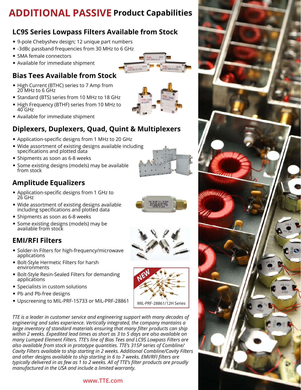### **ADDITIONAL PASSIVE Product Capabilities**

#### **LC9S Series Lowpass Filters Available from Stock**

- 9-pole Chebyshev design; 12 unique part numbers
- -3dBc passband frequencies from 30 MHz to 6 GHz
- SMA female connectors
- Available for immediate shipment

#### **Bias Tees Available from Stock**

- High Current (BTHC) series to 7 Amp from 20 MHz to 6 GHz
- Standard (BTS) series from 10 MHz to 18 GHz
- High Frequency (BTHF) series from 10 MHz to 40 GHz
- Available for immediate shipment

#### **Diplexers, Duplexers, Quad, Quint & Multiplexers**

- Application-specific designs from 1 MHz to 20 GHz
- Wide assortment of existing designs available including specifications and plotted data
- Shipments as soon as 6-8 weeks
- Some existing designs (models) may be available from stock

#### **Amplitude Equalizers**

- Application-specific designs from 1 GHz to 26 GHz
- Wide assortment of existing designs available including specifications and plotted data
- Shipments as soon as 6-8 weeks
- Some existing designs (models) may be available from stock

#### **EMI/RFI Filters**

- Solder-In Filters for high-frequency/microwave applications
- Bolt-Style Hermetic Filters for harsh environments
- Bolt-Style Resin-Sealed Filters for demanding applications
- Specialists in custom solutions
- Pb and Pb-free designs
- Upscreening to MIL-PRF-15733 or MIL-PRF-28861

*TTE is a leader in customer service and engineering support with many decades of engineering and sales experience. Vertically integrated, the company mantains a large inventory of standard materials ensuring that many filter products can ship within 2 weeks. Expedited lead times as short as 3 to 5 days are also available on many Lumped Element Filters. TTE's line of Bias Tees and LC9S Lowpass Filters are also available from stock in prototype quantities. TTE's 315P series of Combline/ Cavity Filters available to ship starting in 2 weeks. Additional Combline/Cavity Filters and other designs available to ship starting in 6 to 7 weeks. EMI/RFI filters are typically delivered in as few as 1 to 2 weeks. All of TTE's filter products are proudly manufactured in the USA and include a limited warranty.*

#### **www.TTE.com**